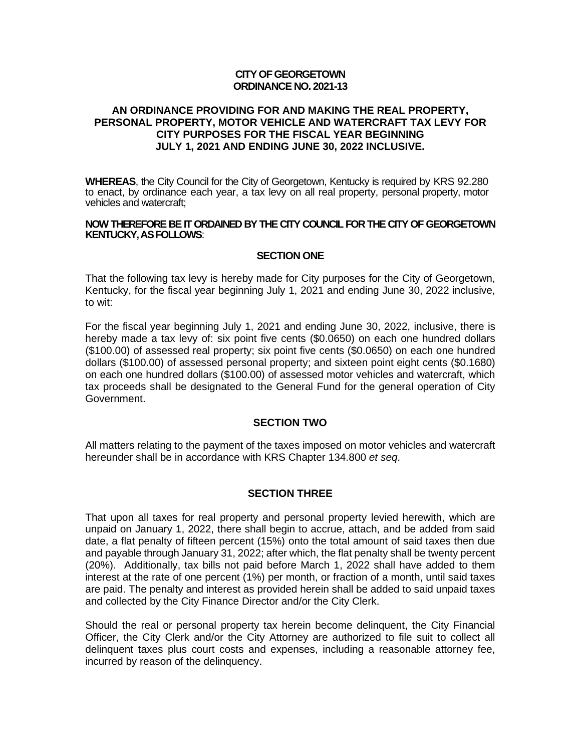#### **CITY OF GEORGETOWN ORDINANCE NO. 2021-13**

### **AN ORDINANCE PROVIDING FOR AND MAKING THE REAL PROPERTY, PERSONAL PROPERTY, MOTOR VEHICLE AND WATERCRAFT TAX LEVY FOR CITY PURPOSES FOR THE FISCAL YEAR BEGINNING JULY 1, 2021 AND ENDING JUNE 30, 2022 INCLUSIVE.**

**WHEREAS**, the City Council for the City of Georgetown, Kentucky is required by KRS 92.280 to enact, by ordinance each year, a tax levy on all real property, personal property, motor vehicles and watercraft;

#### **NOW THEREFORE BE IT ORDAINED BY THE CITY COUNCIL FOR THE CITY OF GEORGETOWN KENTUCKY, AS FOLLOWS**:

#### **SECTION ONE**

That the following tax levy is hereby made for City purposes for the City of Georgetown, Kentucky, for the fiscal year beginning July 1, 2021 and ending June 30, 2022 inclusive, to wit:

For the fiscal year beginning July 1, 2021 and ending June 30, 2022, inclusive, there is hereby made a tax levy of: six point five cents (\$0.0650) on each one hundred dollars (\$100.00) of assessed real property; six point five cents (\$0.0650) on each one hundred dollars (\$100.00) of assessed personal property; and sixteen point eight cents (\$0.1680) on each one hundred dollars (\$100.00) of assessed motor vehicles and watercraft, which tax proceeds shall be designated to the General Fund for the general operation of City Government.

#### **SECTION TWO**

All matters relating to the payment of the taxes imposed on motor vehicles and watercraft hereunder shall be in accordance with KRS Chapter 134.800 *et seq*.

#### **SECTION THREE**

That upon all taxes for real property and personal property levied herewith, which are unpaid on January 1, 2022, there shall begin to accrue, attach, and be added from said date, a flat penalty of fifteen percent (15%) onto the total amount of said taxes then due and payable through January 31, 2022; after which, the flat penalty shall be twenty percent (20%). Additionally, tax bills not paid before March 1, 2022 shall have added to them interest at the rate of one percent (1%) per month, or fraction of a month, until said taxes are paid. The penalty and interest as provided herein shall be added to said unpaid taxes and collected by the City Finance Director and/or the City Clerk.

Should the real or personal property tax herein become delinquent, the City Financial Officer, the City Clerk and/or the City Attorney are authorized to file suit to collect all delinquent taxes plus court costs and expenses, including a reasonable attorney fee, incurred by reason of the delinquency.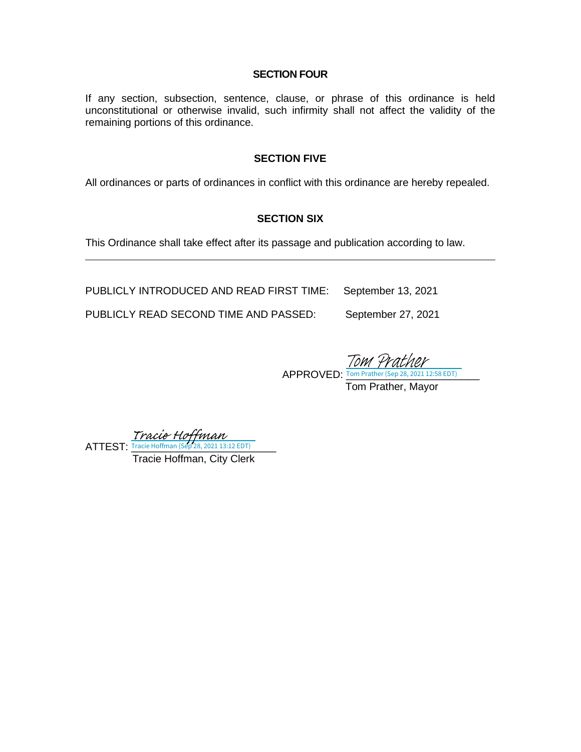### **SECTION FOUR**

If any section, subsection, sentence, clause, or phrase of this ordinance is held unconstitutional or otherwise invalid, such infirmity shall not affect the validity of the remaining portions of this ordinance.

#### **SECTION FIVE**

All ordinances or parts of ordinances in conflict with this ordinance are hereby repealed.

## **SECTION SIX**

This Ordinance shall take effect after its passage and publication according to law.

PUBLICLY INTRODUCED AND READ FIRST TIME: September 13, 2021

PUBLICLY READ SECOND TIME AND PASSED: September 27, 2021

 $APPROVED:$  Tom Prather (Sep 28, 2021 12:58 EDT) Tom Prather, Mayor Tom 4

 $ATTEST:$  Tracie Hoffman (Sep 28, 2021 13:12 EDT) [Tracie Hoffman](https://na1.documents.adobe.com/verifier?tx=CBJCHBCAABAAzUzUGqcnnTGeU8CHmdodfnStOnVre6AX)<br>Tracie Hoffman (Sep 28, 2021 13:12 EDT)

Tracie Hoffman, City Clerk